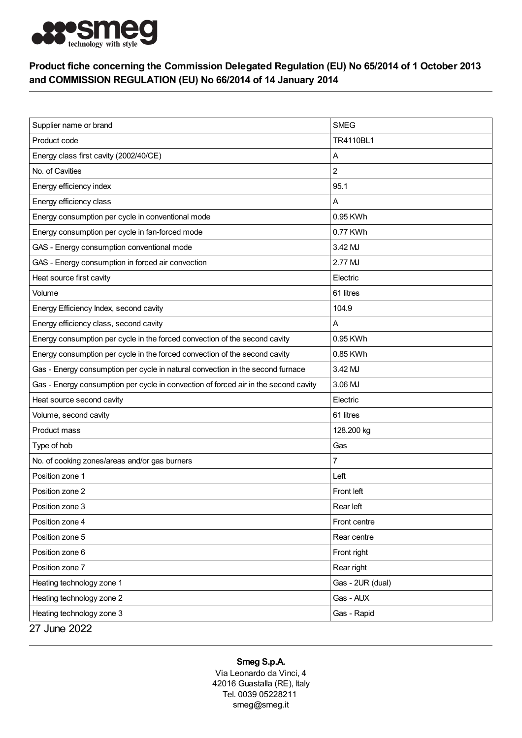

## Product fiche concerning the Commission Delegated Regulation (EU) No 65/2014 of 1 October 2013 and COMMISSION REGULATION (EU) No 66/2014 of 14 January 2014

| Supplier name or brand                                                              | <b>SMEG</b>      |
|-------------------------------------------------------------------------------------|------------------|
| Product code                                                                        | TR4110BL1        |
| Energy class first cavity (2002/40/CE)                                              | Α                |
| No. of Cavities                                                                     | 2                |
| Energy efficiency index                                                             | 95.1             |
| Energy efficiency class                                                             | Α                |
| Energy consumption per cycle in conventional mode                                   | 0.95 KWh         |
| Energy consumption per cycle in fan-forced mode                                     | 0.77 KWh         |
| GAS - Energy consumption conventional mode                                          | 3.42 MJ          |
| GAS - Energy consumption in forced air convection                                   | 2.77 MJ          |
| Heat source first cavity                                                            | Electric         |
| Volume                                                                              | 61 litres        |
| Energy Efficiency Index, second cavity                                              | 104.9            |
| Energy efficiency class, second cavity                                              | A                |
| Energy consumption per cycle in the forced convection of the second cavity          | 0.95 KWh         |
| Energy consumption per cycle in the forced convection of the second cavity          | 0.85 KWh         |
| Gas - Energy consumption per cycle in natural convection in the second furnace      | 3.42 MJ          |
| Gas - Energy consumption per cycle in convection of forced air in the second cavity | 3.06 MJ          |
| Heat source second cavity                                                           | Electric         |
| Volume, second cavity                                                               | 61 litres        |
| Product mass                                                                        | 128.200 kg       |
| Type of hob                                                                         | Gas              |
| No. of cooking zones/areas and/or gas burners                                       | 7                |
| Position zone 1                                                                     | Left             |
| Position zone 2                                                                     | Front left       |
| Position zone 3                                                                     | Rear left        |
| Position zone 4                                                                     | Front centre     |
| Position zone 5                                                                     | Rear centre      |
| Position zone 6                                                                     | Front right      |
| Position zone 7                                                                     | Rear right       |
| Heating technology zone 1                                                           | Gas - 2UR (dual) |
| Heating technology zone 2                                                           | Gas - AUX        |
| Heating technology zone 3                                                           | Gas - Rapid      |
| 27 June 2022                                                                        |                  |

## Smeg S.p.A.

Via Leonardo da Vinci, 4 42016 Guastalla (RE), Italy Tel. 0039 05228211 smeg@smeg.it